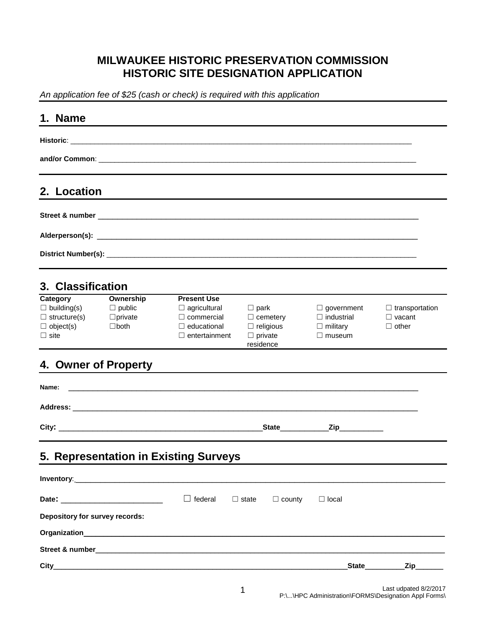## **MILWAUKEE HISTORIC PRESERVATION COMMISSION HISTORIC SITE DESIGNATION APPLICATION**

*An application fee of \$25 (cash or check) is required with this application*

| 1. Name                                                                                  |                                                             |                                                                                                              |                                                                                   |                                                                            |                                                        |
|------------------------------------------------------------------------------------------|-------------------------------------------------------------|--------------------------------------------------------------------------------------------------------------|-----------------------------------------------------------------------------------|----------------------------------------------------------------------------|--------------------------------------------------------|
|                                                                                          |                                                             |                                                                                                              |                                                                                   |                                                                            |                                                        |
|                                                                                          |                                                             |                                                                                                              |                                                                                   |                                                                            |                                                        |
| 2. Location                                                                              |                                                             |                                                                                                              |                                                                                   |                                                                            |                                                        |
|                                                                                          |                                                             |                                                                                                              |                                                                                   |                                                                            |                                                        |
|                                                                                          |                                                             |                                                                                                              |                                                                                   |                                                                            |                                                        |
|                                                                                          |                                                             |                                                                                                              |                                                                                   |                                                                            |                                                        |
| 3. Classification                                                                        |                                                             |                                                                                                              |                                                                                   |                                                                            |                                                        |
| Category<br>$\Box$ building(s)<br>$\Box$ structure(s)<br>$\Box$ object(s)<br>$\Box$ site | Ownership<br>$\Box$ public<br>$\Box$ private<br>$\Box$ both | <b>Present Use</b><br>$\Box$ agricultural<br>$\Box$ commercial<br>$\Box$ educational<br>$\Box$ entertainment | $\Box$ park<br>$\Box$ cemetery<br>$\Box$ religious<br>$\Box$ private<br>residence | $\Box$ government<br>$\Box$ industrial<br>$\Box$ military<br>$\Box$ museum | $\Box$ transportation<br>$\Box$ vacant<br>$\Box$ other |
| 4. Owner of Property                                                                     |                                                             |                                                                                                              |                                                                                   |                                                                            |                                                        |
| Name:                                                                                    |                                                             |                                                                                                              |                                                                                   |                                                                            |                                                        |
|                                                                                          |                                                             |                                                                                                              |                                                                                   |                                                                            |                                                        |
|                                                                                          |                                                             |                                                                                                              | State State                                                                       | _Zip_____________                                                          |                                                        |
|                                                                                          |                                                             | 5. Representation in Existing Surveys                                                                        |                                                                                   |                                                                            |                                                        |
|                                                                                          |                                                             |                                                                                                              |                                                                                   |                                                                            |                                                        |
|                                                                                          |                                                             | $\Box$ federal                                                                                               | $\Box$ state<br>$\Box$ county                                                     | $\Box$ local                                                               |                                                        |
| Depository for survey records:                                                           |                                                             |                                                                                                              |                                                                                   |                                                                            |                                                        |
|                                                                                          |                                                             |                                                                                                              |                                                                                   |                                                                            |                                                        |
|                                                                                          |                                                             |                                                                                                              |                                                                                   |                                                                            |                                                        |
|                                                                                          |                                                             |                                                                                                              |                                                                                   |                                                                            | State____________Zip_______                            |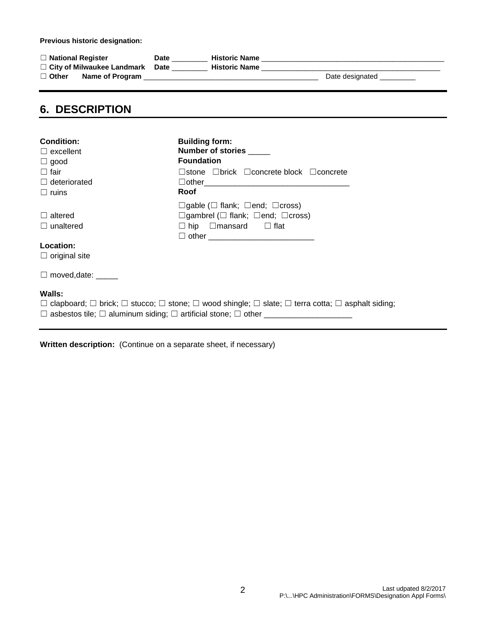**Previous historic designation:**

| $\Box$ National Register          |                 | Date | <b>Historic Name</b> |                 |
|-----------------------------------|-----------------|------|----------------------|-----------------|
| $\Box$ City of Milwaukee Landmark |                 | Date | <b>Historic Name</b> |                 |
| $\Box$ Other                      | Name of Program |      |                      | Date designated |
|                                   |                 |      |                      |                 |

### **6. DESCRIPTION**

| <b>Condition:</b><br>$\Box$ excellent<br>$\Box$ good                                                                                                                                                                                        | <b>Building form:</b><br>Number of stories _____<br><b>Foundation</b>                                                                                       |  |  |  |  |
|---------------------------------------------------------------------------------------------------------------------------------------------------------------------------------------------------------------------------------------------|-------------------------------------------------------------------------------------------------------------------------------------------------------------|--|--|--|--|
| $\Box$ fair                                                                                                                                                                                                                                 | $\Box$ stone $\Box$ brick $\Box$ concrete block $\Box$ concrete                                                                                             |  |  |  |  |
| $\Box$ deteriorated                                                                                                                                                                                                                         |                                                                                                                                                             |  |  |  |  |
| $\Box$ ruins                                                                                                                                                                                                                                | Roof                                                                                                                                                        |  |  |  |  |
| $\Box$ altered<br>$\Box$ unaltered                                                                                                                                                                                                          | $\Box$ gable ( $\Box$ flank; $\Box$ end; $\Box$ cross)<br>$\Box$ gambrel ( $\Box$ flank; $\Box$ end; $\Box$ cross)<br>$\Box$ hip $\Box$ mansard $\Box$ flat |  |  |  |  |
| Location:                                                                                                                                                                                                                                   |                                                                                                                                                             |  |  |  |  |
| $\Box$ original site                                                                                                                                                                                                                        |                                                                                                                                                             |  |  |  |  |
| $\Box$ moved, date: $\_\_$                                                                                                                                                                                                                  |                                                                                                                                                             |  |  |  |  |
| Walls:<br>$\Box$ clapboard; $\Box$ brick; $\Box$ stucco; $\Box$ stone; $\Box$ wood shingle; $\Box$ slate; $\Box$ terra cotta; $\Box$ asphalt siding;<br>$\Box$ asbestos tile; $\Box$ aluminum siding; $\Box$ artificial stone; $\Box$ other |                                                                                                                                                             |  |  |  |  |

**Written description:** (Continue on a separate sheet, if necessary)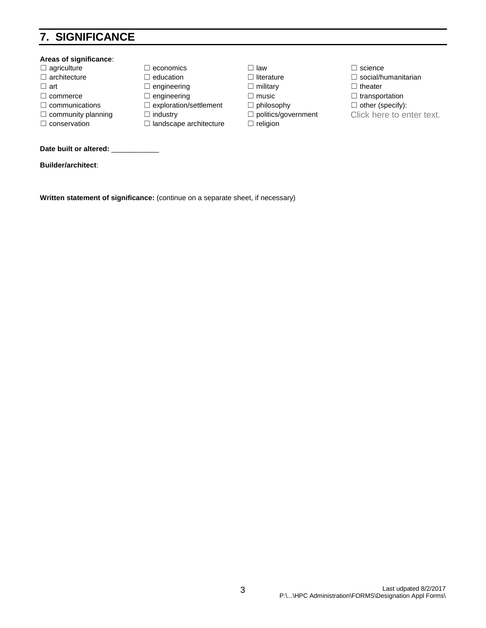# **7. SIGNIFICANCE**

#### **Areas of significance**: ☐ agriculture ☐ economics ☐ law ☐ science ☐ architecture ☐ education ☐ literature ☐ social/humanitarian ☐ art ☐ engineering ☐ military ☐ theater ☐ commerce ☐ engineering ☐ music ☐ transportation ☐ communications ☐ exploration/settlement ☐ philosophy ☐ other (specify): □ community planning □ industry □ politics/government Click here to enter text.<br>□ conservation □ landscape architecture □ religion □ landscape architecture Date built or altered: **Builder/architect**:

**Written statement of significance:** (continue on a separate sheet, if necessary)